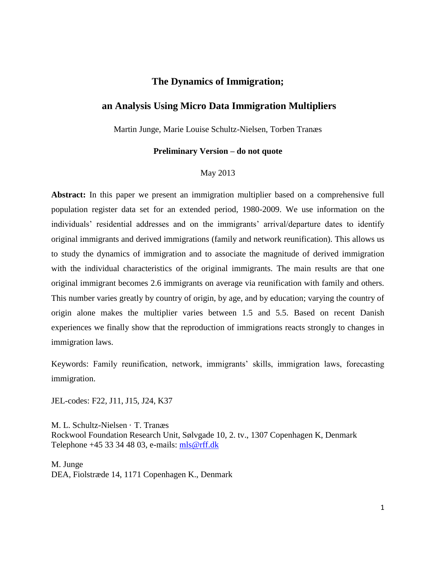# **The Dynamics of Immigration;**

# **an Analysis Using Micro Data Immigration Multipliers**

Martin Junge, Marie Louise Schultz-Nielsen, Torben Tranæs

#### **Preliminary Version – do not quote**

#### May 2013

**Abstract:** In this paper we present an immigration multiplier based on a comprehensive full population register data set for an extended period, 1980-2009. We use information on the individuals' residential addresses and on the immigrants' arrival/departure dates to identify original immigrants and derived immigrations (family and network reunification). This allows us to study the dynamics of immigration and to associate the magnitude of derived immigration with the individual characteristics of the original immigrants. The main results are that one original immigrant becomes 2.6 immigrants on average via reunification with family and others. This number varies greatly by country of origin, by age, and by education; varying the country of origin alone makes the multiplier varies between 1.5 and 5.5. Based on recent Danish experiences we finally show that the reproduction of immigrations reacts strongly to changes in immigration laws.

Keywords: Family reunification, network, immigrants' skills, immigration laws, forecasting immigration.

JEL-codes: F22, J11, J15, J24, K37

M. L. Schultz-Nielsen · T. Tranæs Rockwool Foundation Research Unit, Sølvgade 10, 2. tv., 1307 Copenhagen K, Denmark Telephone +45 33 34 48 03, e-mails: [mls@rff.dk](mailto:mls@rff.dk)

M. Junge DEA, Fiolstræde 14, 1171 Copenhagen K., Denmark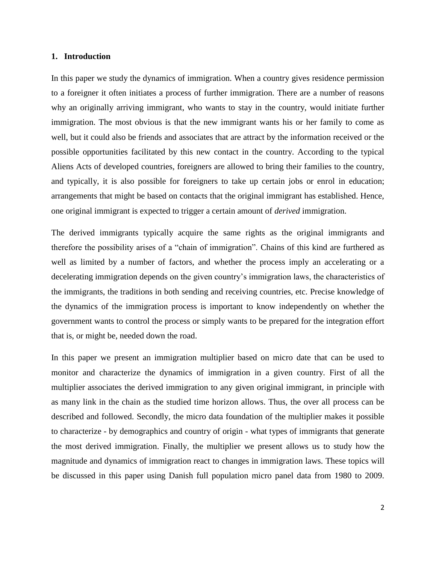#### **1. Introduction**

In this paper we study the dynamics of immigration. When a country gives residence permission to a foreigner it often initiates a process of further immigration. There are a number of reasons why an originally arriving immigrant, who wants to stay in the country, would initiate further immigration. The most obvious is that the new immigrant wants his or her family to come as well, but it could also be friends and associates that are attract by the information received or the possible opportunities facilitated by this new contact in the country. According to the typical Aliens Acts of developed countries, foreigners are allowed to bring their families to the country, and typically, it is also possible for foreigners to take up certain jobs or enrol in education; arrangements that might be based on contacts that the original immigrant has established. Hence, one original immigrant is expected to trigger a certain amount of *derived* immigration.

The derived immigrants typically acquire the same rights as the original immigrants and therefore the possibility arises of a "chain of immigration". Chains of this kind are furthered as well as limited by a number of factors, and whether the process imply an accelerating or a decelerating immigration depends on the given country's immigration laws, the characteristics of the immigrants, the traditions in both sending and receiving countries, etc. Precise knowledge of the dynamics of the immigration process is important to know independently on whether the government wants to control the process or simply wants to be prepared for the integration effort that is, or might be, needed down the road.

In this paper we present an immigration multiplier based on micro date that can be used to monitor and characterize the dynamics of immigration in a given country. First of all the multiplier associates the derived immigration to any given original immigrant, in principle with as many link in the chain as the studied time horizon allows. Thus, the over all process can be described and followed. Secondly, the micro data foundation of the multiplier makes it possible to characterize - by demographics and country of origin - what types of immigrants that generate the most derived immigration. Finally, the multiplier we present allows us to study how the magnitude and dynamics of immigration react to changes in immigration laws. These topics will be discussed in this paper using Danish full population micro panel data from 1980 to 2009.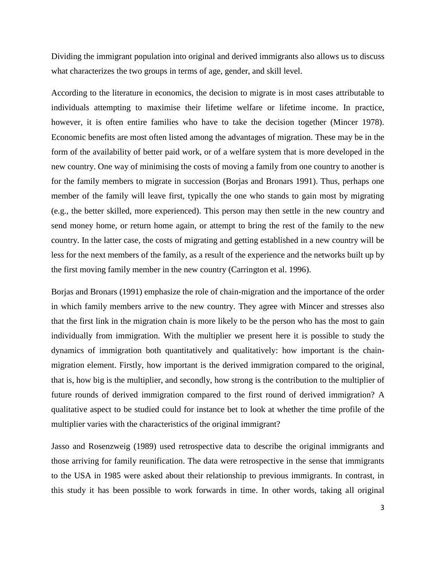Dividing the immigrant population into original and derived immigrants also allows us to discuss what characterizes the two groups in terms of age, gender, and skill level.

According to the literature in economics, the decision to migrate is in most cases attributable to individuals attempting to maximise their lifetime welfare or lifetime income. In practice, however, it is often entire families who have to take the decision together (Mincer 1978). Economic benefits are most often listed among the advantages of migration. These may be in the form of the availability of better paid work, or of a welfare system that is more developed in the new country. One way of minimising the costs of moving a family from one country to another is for the family members to migrate in succession (Borjas and Bronars 1991). Thus, perhaps one member of the family will leave first, typically the one who stands to gain most by migrating (e.g., the better skilled, more experienced). This person may then settle in the new country and send money home, or return home again, or attempt to bring the rest of the family to the new country. In the latter case, the costs of migrating and getting established in a new country will be less for the next members of the family, as a result of the experience and the networks built up by the first moving family member in the new country (Carrington et al. 1996).

Borjas and Bronars (1991) emphasize the role of chain-migration and the importance of the order in which family members arrive to the new country. They agree with Mincer and stresses also that the first link in the migration chain is more likely to be the person who has the most to gain individually from immigration. With the multiplier we present here it is possible to study the dynamics of immigration both quantitatively and qualitatively: how important is the chainmigration element. Firstly, how important is the derived immigration compared to the original, that is, how big is the multiplier, and secondly, how strong is the contribution to the multiplier of future rounds of derived immigration compared to the first round of derived immigration? A qualitative aspect to be studied could for instance bet to look at whether the time profile of the multiplier varies with the characteristics of the original immigrant?

Jasso and Rosenzweig (1989) used retrospective data to describe the original immigrants and those arriving for family reunification. The data were retrospective in the sense that immigrants to the USA in 1985 were asked about their relationship to previous immigrants. In contrast, in this study it has been possible to work forwards in time. In other words, taking all original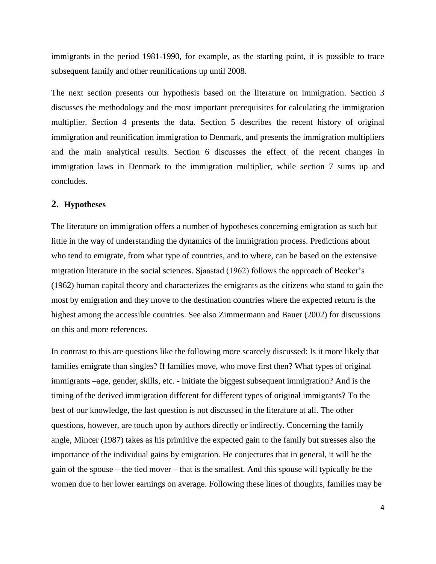immigrants in the period 1981-1990, for example, as the starting point, it is possible to trace subsequent family and other reunifications up until 2008.

The next section presents our hypothesis based on the literature on immigration. Section 3 discusses the methodology and the most important prerequisites for calculating the immigration multiplier. Section 4 presents the data. Section 5 describes the recent history of original immigration and reunification immigration to Denmark, and presents the immigration multipliers and the main analytical results. Section 6 discusses the effect of the recent changes in immigration laws in Denmark to the immigration multiplier, while section 7 sums up and concludes.

### **2. Hypotheses**

The literature on immigration offers a number of hypotheses concerning emigration as such but little in the way of understanding the dynamics of the immigration process. Predictions about who tend to emigrate, from what type of countries, and to where, can be based on the extensive migration literature in the social sciences. Sjaastad (1962) follows the approach of Becker's (1962) human capital theory and characterizes the emigrants as the citizens who stand to gain the most by emigration and they move to the destination countries where the expected return is the highest among the accessible countries. See also Zimmermann and Bauer (2002) for discussions on this and more references.

In contrast to this are questions like the following more scarcely discussed: Is it more likely that families emigrate than singles? If families move, who move first then? What types of original immigrants –age, gender, skills, etc. - initiate the biggest subsequent immigration? And is the timing of the derived immigration different for different types of original immigrants? To the best of our knowledge, the last question is not discussed in the literature at all. The other questions, however, are touch upon by authors directly or indirectly. Concerning the family angle, Mincer (1987) takes as his primitive the expected gain to the family but stresses also the importance of the individual gains by emigration. He conjectures that in general, it will be the gain of the spouse – the tied mover – that is the smallest. And this spouse will typically be the women due to her lower earnings on average. Following these lines of thoughts, families may be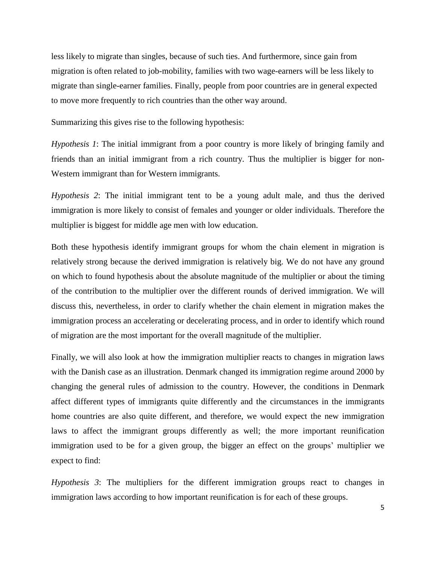less likely to migrate than singles, because of such ties. And furthermore, since gain from migration is often related to job-mobility, families with two wage-earners will be less likely to migrate than single-earner families. Finally, people from poor countries are in general expected to move more frequently to rich countries than the other way around.

Summarizing this gives rise to the following hypothesis:

*Hypothesis 1*: The initial immigrant from a poor country is more likely of bringing family and friends than an initial immigrant from a rich country. Thus the multiplier is bigger for non-Western immigrant than for Western immigrants.

*Hypothesis 2*: The initial immigrant tent to be a young adult male, and thus the derived immigration is more likely to consist of females and younger or older individuals. Therefore the multiplier is biggest for middle age men with low education.

Both these hypothesis identify immigrant groups for whom the chain element in migration is relatively strong because the derived immigration is relatively big. We do not have any ground on which to found hypothesis about the absolute magnitude of the multiplier or about the timing of the contribution to the multiplier over the different rounds of derived immigration. We will discuss this, nevertheless, in order to clarify whether the chain element in migration makes the immigration process an accelerating or decelerating process, and in order to identify which round of migration are the most important for the overall magnitude of the multiplier.

Finally, we will also look at how the immigration multiplier reacts to changes in migration laws with the Danish case as an illustration. Denmark changed its immigration regime around 2000 by changing the general rules of admission to the country. However, the conditions in Denmark affect different types of immigrants quite differently and the circumstances in the immigrants home countries are also quite different, and therefore, we would expect the new immigration laws to affect the immigrant groups differently as well; the more important reunification immigration used to be for a given group, the bigger an effect on the groups' multiplier we expect to find:

*Hypothesis 3*: The multipliers for the different immigration groups react to changes in immigration laws according to how important reunification is for each of these groups.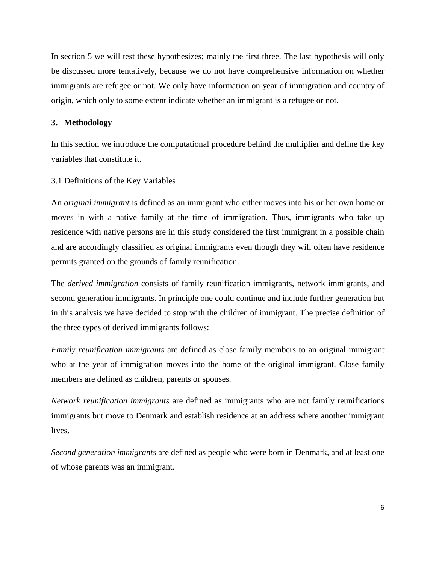In section 5 we will test these hypothesizes; mainly the first three. The last hypothesis will only be discussed more tentatively, because we do not have comprehensive information on whether immigrants are refugee or not. We only have information on year of immigration and country of origin, which only to some extent indicate whether an immigrant is a refugee or not.

#### **3. Methodology**

In this section we introduce the computational procedure behind the multiplier and define the key variables that constitute it.

#### 3.1 Definitions of the Key Variables

An *original immigrant* is defined as an immigrant who either moves into his or her own home or moves in with a native family at the time of immigration. Thus, immigrants who take up residence with native persons are in this study considered the first immigrant in a possible chain and are accordingly classified as original immigrants even though they will often have residence permits granted on the grounds of family reunification.

The *derived immigration* consists of family reunification immigrants, network immigrants, and second generation immigrants. In principle one could continue and include further generation but in this analysis we have decided to stop with the children of immigrant. The precise definition of the three types of derived immigrants follows:

*Family reunification immigrants* are defined as close family members to an original immigrant who at the year of immigration moves into the home of the original immigrant. Close family members are defined as children, parents or spouses.

*Network reunification immigrants* are defined as immigrants who are not family reunifications immigrants but move to Denmark and establish residence at an address where another immigrant lives.

*Second generation immigrants* are defined as people who were born in Denmark, and at least one of whose parents was an immigrant.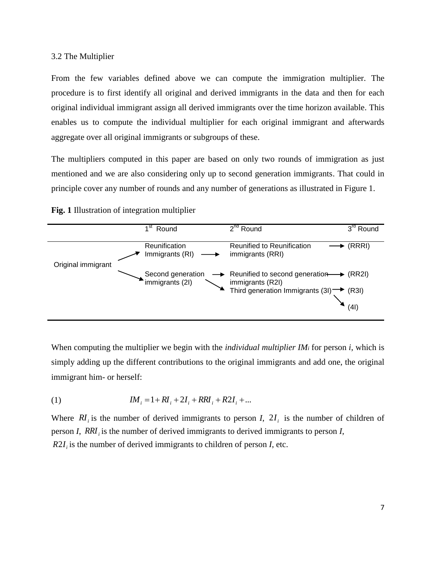#### 3.2 The Multiplier

From the few variables defined above we can compute the immigration multiplier. The procedure is to first identify all original and derived immigrants in the data and then for each original individual immigrant assign all derived immigrants over the time horizon available. This enables us to compute the individual multiplier for each original immigrant and afterwards aggregate over all original immigrants or subgroups of these.

The multipliers computed in this paper are based on only two rounds of immigration as just mentioned and we are also considering only up to second generation immigrants. That could in principle cover any number of rounds and any number of generations as illustrated in Figure 1.

### **Fig. 1** Illustration of integration multiplier



When computing the multiplier we begin with the *individual multiplier IM<sup>i</sup>* for person *i*, which is simply adding up the different contributions to the original immigrants and add one, the original immigrant him- or herself:

(1) 
$$
IM_i = 1 + RI_i + 2I_i + RRI_i + R2I_i + ...
$$

Where  $RI_i$  is the number of derived immigrants to person *I*,  $2I_i$  is the number of children of person *I*, *RRI<sup>i</sup>* is the number of derived immigrants to derived immigrants to person *I*,  $R2I_i$  is the number of derived immigrants to children of person *I*, etc.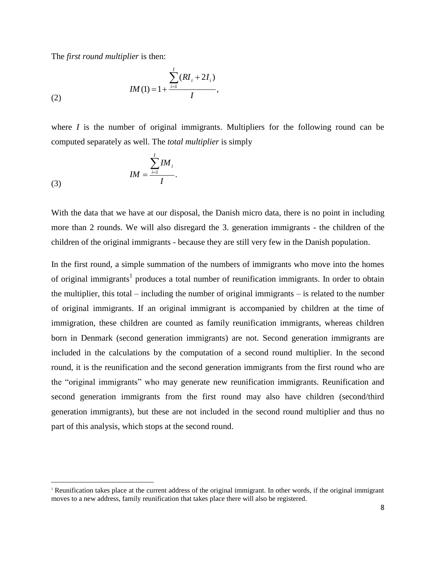The *first round multiplier* is then:

(2) 
$$
IM(1) = 1 + \frac{\sum_{i=1}^{I} (RI_i + 2I_i)}{I},
$$

where *I* is the number of original immigrants. Multipliers for the following round can be computed separately as well. The *total multiplier* is simply

$$
IM = \frac{\sum_{i=1}^{I} IM_i}{I}.
$$
\n
$$
(3)
$$

 $\overline{\phantom{a}}$ 

With the data that we have at our disposal, the Danish micro data, there is no point in including more than 2 rounds. We will also disregard the 3. generation immigrants - the children of the children of the original immigrants - because they are still very few in the Danish population.

In the first round, a simple summation of the numbers of immigrants who move into the homes of original immigrants<sup>1</sup> produces a total number of reunification immigrants. In order to obtain the multiplier, this total – including the number of original immigrants – is related to the number of original immigrants. If an original immigrant is accompanied by children at the time of immigration, these children are counted as family reunification immigrants, whereas children born in Denmark (second generation immigrants) are not. Second generation immigrants are included in the calculations by the computation of a second round multiplier. In the second round, it is the reunification and the second generation immigrants from the first round who are the "original immigrants" who may generate new reunification immigrants. Reunification and second generation immigrants from the first round may also have children (second/third generation immigrants), but these are not included in the second round multiplier and thus no part of this analysis, which stops at the second round.

<sup>1</sup> Reunification takes place at the current address of the original immigrant. In other words, if the original immigrant moves to a new address, family reunification that takes place there will also be registered.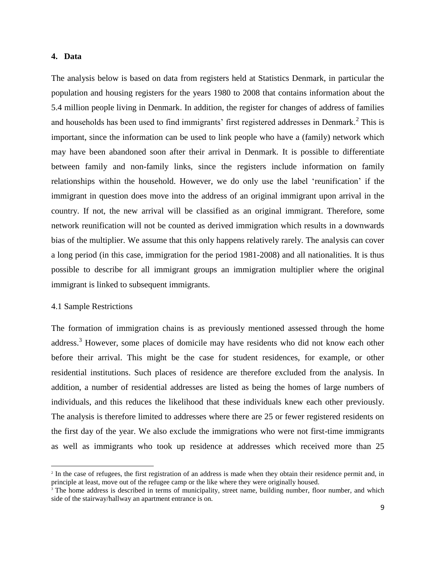### **4. Data**

The analysis below is based on data from registers held at Statistics Denmark, in particular the population and housing registers for the years 1980 to 2008 that contains information about the 5.4 million people living in Denmark. In addition, the register for changes of address of families and households has been used to find immigrants' first registered addresses in Denmark.<sup>2</sup> This is important, since the information can be used to link people who have a (family) network which may have been abandoned soon after their arrival in Denmark. It is possible to differentiate between family and non-family links, since the registers include information on family relationships within the household. However, we do only use the label 'reunification' if the immigrant in question does move into the address of an original immigrant upon arrival in the country. If not, the new arrival will be classified as an original immigrant. Therefore, some network reunification will not be counted as derived immigration which results in a downwards bias of the multiplier. We assume that this only happens relatively rarely. The analysis can cover a long period (in this case, immigration for the period 1981-2008) and all nationalities. It is thus possible to describe for all immigrant groups an immigration multiplier where the original immigrant is linked to subsequent immigrants.

### 4.1 Sample Restrictions

 $\overline{\phantom{a}}$ 

The formation of immigration chains is as previously mentioned assessed through the home address.<sup>3</sup> However, some places of domicile may have residents who did not know each other before their arrival. This might be the case for student residences, for example, or other residential institutions. Such places of residence are therefore excluded from the analysis. In addition, a number of residential addresses are listed as being the homes of large numbers of individuals, and this reduces the likelihood that these individuals knew each other previously. The analysis is therefore limited to addresses where there are 25 or fewer registered residents on the first day of the year. We also exclude the immigrations who were not first-time immigrants as well as immigrants who took up residence at addresses which received more than 25

<sup>&</sup>lt;sup>2</sup> In the case of refugees, the first registration of an address is made when they obtain their residence permit and, in principle at least, move out of the refugee camp or the like where they were originally housed.

<sup>&</sup>lt;sup>3</sup> The home address is described in terms of municipality, street name, building number, floor number, and which side of the stairway/hallway an apartment entrance is on.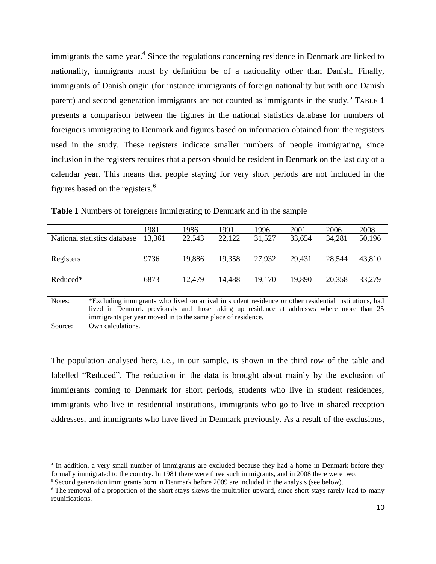immigrants the same year.<sup>4</sup> Since the regulations concerning residence in Denmark are linked to nationality, immigrants must by definition be of a nationality other than Danish. Finally, immigrants of Danish origin (for instance immigrants of foreign nationality but with one Danish parent) and second generation immigrants are not counted as immigrants in the study.<sup>5</sup> T[ABLE](#page-9-0) 1 presents a comparison between the figures in the national statistics database for numbers of foreigners immigrating to Denmark and figures based on information obtained from the registers used in the study. These registers indicate smaller numbers of people immigrating, since inclusion in the registers requires that a person should be resident in Denmark on the last day of a calendar year. This means that people staying for very short periods are not included in the figures based on the registers.<sup>6</sup>

|                              | 1981   | 1986   | 1991   | 1996   | 2001   | 2006   | 2008   |
|------------------------------|--------|--------|--------|--------|--------|--------|--------|
| National statistics database | 13.361 | 22,543 | 22,122 | 31,527 | 33,654 | 34,281 | 50,196 |
| Registers                    | 9736   | 19,886 | 19,358 | 27,932 | 29.431 | 28.544 | 43.810 |
| Reduced*                     | 6873   | 12,479 | 14,488 | 19,170 | 19,890 | 20,358 | 33,279 |

<span id="page-9-0"></span>

|  |  | Table 1 Numbers of foreigners immigrating to Denmark and in the sample |  |
|--|--|------------------------------------------------------------------------|--|
|  |  |                                                                        |  |

Notes: \*Excluding immigrants who lived on arrival in student residence or other residential institutions, had lived in Denmark previously and those taking up residence at addresses where more than 25 immigrants per year moved in to the same place of residence. Source: Own calculations.

The population analysed here, i.e., in our sample, is shown in the third row of the table and labelled "Reduced". The reduction in the data is brought about mainly by the exclusion of immigrants coming to Denmark for short periods, students who live in student residences, immigrants who live in residential institutions, immigrants who go to live in shared reception addresses, and immigrants who have lived in Denmark previously. As a result of the exclusions,

 $\overline{\phantom{a}}$ 

<sup>4</sup> In addition, a very small number of immigrants are excluded because they had a home in Denmark before they formally immigrated to the country. In 1981 there were three such immigrants, and in 2008 there were two.

<sup>5</sup> Second generation immigrants born in Denmark before 2009 are included in the analysis (see below).

<sup>&</sup>lt;sup>6</sup> The removal of a proportion of the short stays skews the multiplier upward, since short stays rarely lead to many reunifications.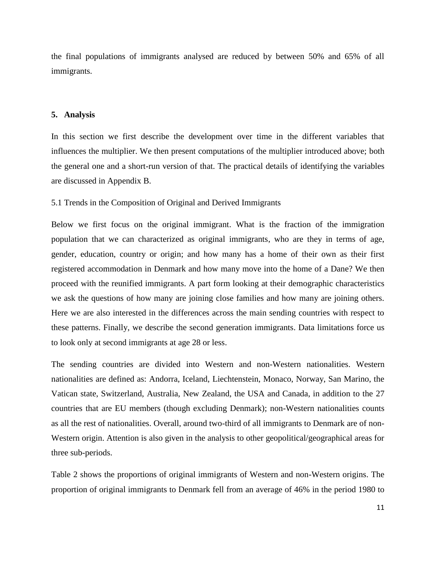the final populations of immigrants analysed are reduced by between 50% and 65% of all immigrants.

#### **5. Analysis**

In this section we first describe the development over time in the different variables that influences the multiplier. We then present computations of the multiplier introduced above; both the general one and a short-run version of that. The practical details of identifying the variables are discussed in Appendix B.

#### 5.1 Trends in the Composition of Original and Derived Immigrants

Below we first focus on the original immigrant. What is the fraction of the immigration population that we can characterized as original immigrants, who are they in terms of age, gender, education, country or origin; and how many has a home of their own as their first registered accommodation in Denmark and how many move into the home of a Dane? We then proceed with the reunified immigrants. A part form looking at their demographic characteristics we ask the questions of how many are joining close families and how many are joining others. Here we are also interested in the differences across the main sending countries with respect to these patterns. Finally, we describe the second generation immigrants. Data limitations force us to look only at second immigrants at age 28 or less.

The sending countries are divided into Western and non-Western nationalities. Western nationalities are defined as: Andorra, Iceland, Liechtenstein, Monaco, Norway, San Marino, the Vatican state, Switzerland, Australia, New Zealand, the USA and Canada, in addition to the 27 countries that are EU members (though excluding Denmark); non-Western nationalities counts as all the rest of nationalities. Overall, around two-third of all immigrants to Denmark are of non-Western origin. Attention is also given in the analysis to other geopolitical/geographical areas for three sub-periods.

Table 2 shows the proportions of original immigrants of Western and non-Western origins. The proportion of original immigrants to Denmark fell from an average of 46% in the period 1980 to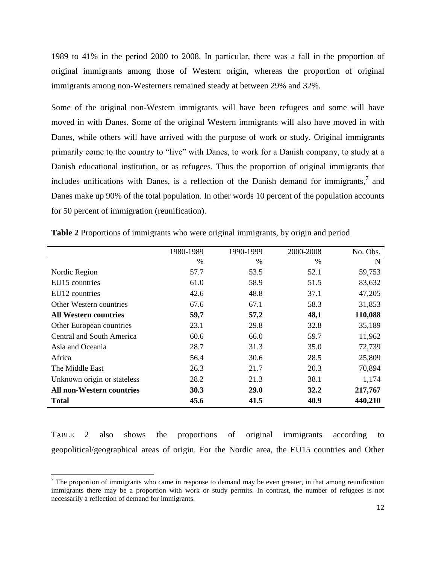1989 to 41% in the period 2000 to 2008. In particular, there was a fall in the proportion of original immigrants among those of Western origin, whereas the proportion of original immigrants among non-Westerners remained steady at between 29% and 32%.

Some of the original non-Western immigrants will have been refugees and some will have moved in with Danes. Some of the original Western immigrants will also have moved in with Danes, while others will have arrived with the purpose of work or study. Original immigrants primarily come to the country to "live" with Danes, to work for a Danish company, to study at a Danish educational institution, or as refugees. Thus the proportion of original immigrants that includes unifications with Danes, is a reflection of the Danish demand for immigrants, $\frac{7}{1}$  and Danes make up 90% of the total population. In other words 10 percent of the population accounts for 50 percent of immigration (reunification).

|                                  | 1980-1989     | 1990-1999 | 2000-2008   | No. Obs. |
|----------------------------------|---------------|-----------|-------------|----------|
|                                  | $\frac{0}{0}$ | $\%$      | $\%$        | N        |
| Nordic Region                    | 57.7          | 53.5      | 52.1        | 59,753   |
| EU15 countries                   | 61.0          | 58.9      | 51.5        | 83,632   |
| EU12 countries                   | 42.6          | 48.8      | 37.1        | 47,205   |
| Other Western countries          | 67.6          | 67.1      | 58.3        | 31,853   |
| <b>All Western countries</b>     | 59,7          | 57,2      | 48,1        | 110,088  |
| Other European countries         | 23.1          | 29.8      | 32.8        | 35,189   |
| Central and South America        | 60.6          | 66.0      | 59.7        | 11,962   |
| Asia and Oceania                 | 28.7          | 31.3      | 35.0        | 72,739   |
| Africa                           | 56.4          | 30.6      | 28.5        | 25,809   |
| The Middle East                  | 26.3          | 21.7      | 20.3        | 70,894   |
| Unknown origin or stateless      | 28.2          | 21.3      | 38.1        | 1,174    |
| <b>All non-Western countries</b> | <b>30.3</b>   | 29.0      | <b>32.2</b> | 217,767  |
| <b>Total</b>                     | 45.6          | 41.5      | 40.9        | 440,210  |

<span id="page-11-0"></span>**Table 2** Proportions of immigrants who were original immigrants, by origin and period

T[ABLE](#page-11-0) 2 also shows the proportions of original immigrants according to geopolitical/geographical areas of origin. For the Nordic area, the EU15 countries and Other

l

 $<sup>7</sup>$  The proportion of immigrants who came in response to demand may be even greater, in that among reunification</sup> immigrants there may be a proportion with work or study permits. In contrast, the number of refugees is not necessarily a reflection of demand for immigrants.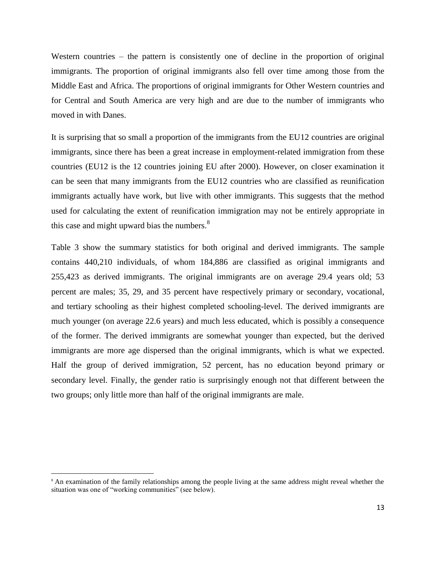Western countries – the pattern is consistently one of decline in the proportion of original immigrants. The proportion of original immigrants also fell over time among those from the Middle East and Africa. The proportions of original immigrants for Other Western countries and for Central and South America are very high and are due to the number of immigrants who moved in with Danes.

It is surprising that so small a proportion of the immigrants from the EU12 countries are original immigrants, since there has been a great increase in employment-related immigration from these countries (EU12 is the 12 countries joining EU after 2000). However, on closer examination it can be seen that many immigrants from the EU12 countries who are classified as reunification immigrants actually have work, but live with other immigrants. This suggests that the method used for calculating the extent of reunification immigration may not be entirely appropriate in this case and might upward bias the numbers. $88$ 

Table 3 show the summary statistics for both original and derived immigrants. The sample contains 440,210 individuals, of whom 184,886 are classified as original immigrants and 255,423 as derived immigrants. The original immigrants are on average 29.4 years old; 53 percent are males; 35, 29, and 35 percent have respectively primary or secondary, vocational, and tertiary schooling as their highest completed schooling-level. The derived immigrants are much younger (on average 22.6 years) and much less educated, which is possibly a consequence of the former. The derived immigrants are somewhat younger than expected, but the derived immigrants are more age dispersed than the original immigrants, which is what we expected. Half the group of derived immigration, 52 percent, has no education beyond primary or secondary level. Finally, the gender ratio is surprisingly enough not that different between the two groups; only little more than half of the original immigrants are male.

 $\overline{\phantom{a}}$ 

<sup>&</sup>lt;sup>8</sup> An examination of the family relationships among the people living at the same address might reveal whether the situation was one of "working communities" (see below).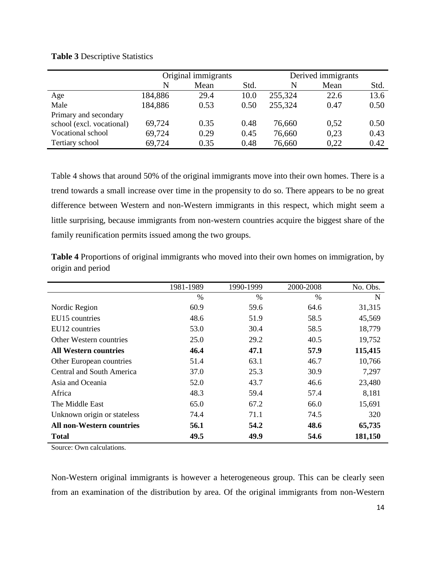### **Table 3** Descriptive Statistics

|                           |         | Original immigrants |      | Derived immigrants |      |      |  |
|---------------------------|---------|---------------------|------|--------------------|------|------|--|
|                           | N       | Mean                | Std. | N                  | Mean | Std. |  |
| Age                       | 184,886 | 29.4                | 10.0 | 255,324            | 22.6 | 13.6 |  |
| Male                      | 184,886 | 0.53                | 0.50 | 255,324            | 0.47 | 0.50 |  |
| Primary and secondary     |         |                     |      |                    |      |      |  |
| school (excl. vocational) | 69,724  | 0.35                | 0.48 | 76,660             | 0.52 | 0.50 |  |
| Vocational school         | 69,724  | 0.29                | 0.45 | 76,660             | 0,23 | 0.43 |  |
| Tertiary school           | 69,724  | 0.35                | 0.48 | 76,660             | 0.22 | 0.42 |  |

Table 4 shows that around 50% of the original immigrants move into their own homes. There is a trend towards a small increase over time in the propensity to do so. There appears to be no great difference between Western and non-Western immigrants in this respect, which might seem a little surprising, because immigrants from non-western countries acquire the biggest share of the family reunification permits issued among the two groups.

**Table 4** Proportions of original immigrants who moved into their own homes on immigration, by origin and period

|                                  | 1981-1989     | 1990-1999     | 2000-2008     | No. Obs. |
|----------------------------------|---------------|---------------|---------------|----------|
|                                  | $\frac{0}{0}$ | $\frac{0}{0}$ | $\frac{0}{0}$ | N        |
| Nordic Region                    | 60.9          | 59.6          | 64.6          | 31,315   |
| EU15 countries                   | 48.6          | 51.9          | 58.5          | 45,569   |
| EU12 countries                   | 53.0          | 30.4          | 58.5          | 18,779   |
| Other Western countries          | 25.0          | 29.2          | 40.5          | 19,752   |
| All Western countries            | 46.4          | 47.1          | 57.9          | 115,415  |
| Other European countries         | 51.4          | 63.1          | 46.7          | 10,766   |
| Central and South America        | 37.0          | 25.3          | 30.9          | 7,297    |
| Asia and Oceania                 | 52.0          | 43.7          | 46.6          | 23,480   |
| Africa                           | 48.3          | 59.4          | 57.4          | 8,181    |
| The Middle East                  | 65.0          | 67.2          | 66.0          | 15,691   |
| Unknown origin or stateless      | 74.4          | 71.1          | 74.5          | 320      |
| <b>All non-Western countries</b> | 56.1          | 54.2          | 48.6          | 65,735   |
| <b>Total</b>                     | 49.5          | 49.9          | 54.6          | 181,150  |

Source: Own calculations.

Non-Western original immigrants is however a heterogeneous group. This can be clearly seen from an examination of the distribution by area. Of the original immigrants from non-Western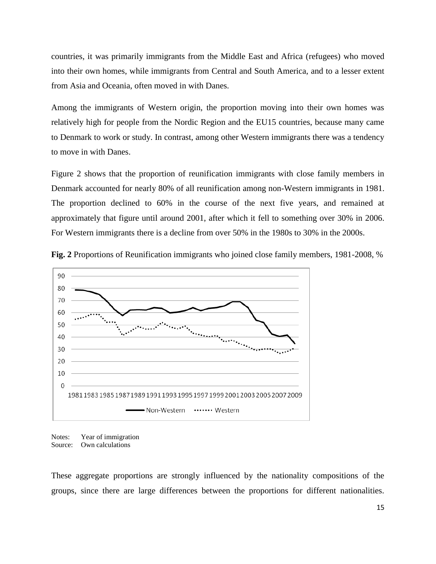countries, it was primarily immigrants from the Middle East and Africa (refugees) who moved into their own homes, while immigrants from Central and South America, and to a lesser extent from Asia and Oceania, often moved in with Danes.

Among the immigrants of Western origin, the proportion moving into their own homes was relatively high for people from the Nordic Region and the EU15 countries, because many came to Denmark to work or study. In contrast, among other Western immigrants there was a tendency to move in with Danes.

Figure 2 shows that the proportion of reunification immigrants with close family members in Denmark accounted for nearly 80% of all reunification among non-Western immigrants in 1981. The proportion declined to 60% in the course of the next five years, and remained at approximately that figure until around 2001, after which it fell to something over 30% in 2006. For Western immigrants there is a decline from over 50% in the 1980s to 30% in the 2000s.



**Fig. 2** Proportions of Reunification immigrants who joined close family members, 1981-2008, %

Notes: Year of immigration Source: Own calculations

These aggregate proportions are strongly influenced by the nationality compositions of the groups, since there are large differences between the proportions for different nationalities.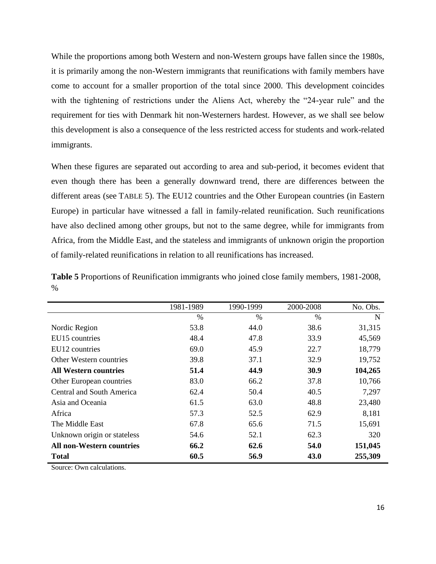While the proportions among both Western and non-Western groups have fallen since the 1980s, it is primarily among the non-Western immigrants that reunifications with family members have come to account for a smaller proportion of the total since 2000. This development coincides with the tightening of restrictions under the Aliens Act, whereby the "24-year rule" and the requirement for ties with Denmark hit non-Westerners hardest. However, as we shall see below this development is also a consequence of the less restricted access for students and work-related immigrants.

When these figures are separated out according to area and sub-period, it becomes evident that even though there has been a generally downward trend, there are differences between the different areas (see TABLE 5). The EU12 countries and the Other European countries (in Eastern Europe) in particular have witnessed a fall in family-related reunification. Such reunifications have also declined among other groups, but not to the same degree, while for immigrants from Africa, from the Middle East, and the stateless and immigrants of unknown origin the proportion of family-related reunifications in relation to all reunifications has increased.

**Table 5** Proportions of Reunification immigrants who joined close family members, 1981-2008, %

|                                  | 1981-1989 | 1990-1999 | 2000-2008     | No. Obs. |
|----------------------------------|-----------|-----------|---------------|----------|
|                                  | %         | $\%$      | $\frac{0}{0}$ | N        |
| Nordic Region                    | 53.8      | 44.0      | 38.6          | 31,315   |
| EU15 countries                   | 48.4      | 47.8      | 33.9          | 45,569   |
| EU12 countries                   | 69.0      | 45.9      | 22.7          | 18,779   |
| Other Western countries          | 39.8      | 37.1      | 32.9          | 19,752   |
| <b>All Western countries</b>     | 51.4      | 44.9      | 30.9          | 104,265  |
| Other European countries         | 83.0      | 66.2      | 37.8          | 10,766   |
| Central and South America        | 62.4      | 50.4      | 40.5          | 7,297    |
| Asia and Oceania                 | 61.5      | 63.0      | 48.8          | 23,480   |
| Africa                           | 57.3      | 52.5      | 62.9          | 8,181    |
| The Middle East                  | 67.8      | 65.6      | 71.5          | 15,691   |
| Unknown origin or stateless      | 54.6      | 52.1      | 62.3          | 320      |
| <b>All non-Western countries</b> | 66.2      | 62.6      | 54.0          | 151,045  |
| <b>Total</b>                     | 60.5      | 56.9      | 43.0          | 255,309  |

Source: Own calculations.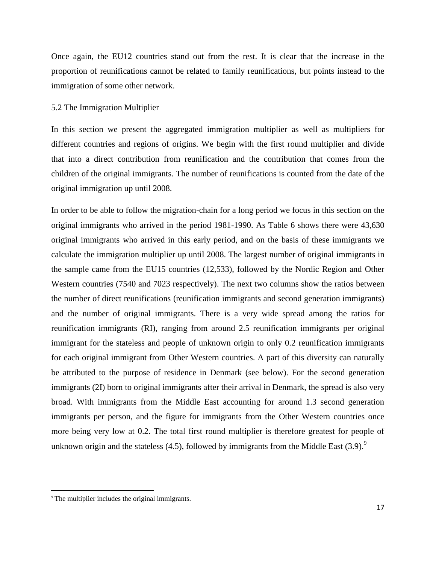Once again, the EU12 countries stand out from the rest. It is clear that the increase in the proportion of reunifications cannot be related to family reunifications, but points instead to the immigration of some other network.

#### 5.2 The Immigration Multiplier

In this section we present the aggregated immigration multiplier as well as multipliers for different countries and regions of origins. We begin with the first round multiplier and divide that into a direct contribution from reunification and the contribution that comes from the children of the original immigrants. The number of reunifications is counted from the date of the original immigration up until 2008.

In order to be able to follow the migration-chain for a long period we focus in this section on the original immigrants who arrived in the period 1981-1990. As Table 6 shows there were 43,630 original immigrants who arrived in this early period, and on the basis of these immigrants we calculate the immigration multiplier up until 2008. The largest number of original immigrants in the sample came from the EU15 countries (12,533), followed by the Nordic Region and Other Western countries (7540 and 7023 respectively). The next two columns show the ratios between the number of direct reunifications (reunification immigrants and second generation immigrants) and the number of original immigrants. There is a very wide spread among the ratios for reunification immigrants (RI), ranging from around 2.5 reunification immigrants per original immigrant for the stateless and people of unknown origin to only 0.2 reunification immigrants for each original immigrant from Other Western countries. A part of this diversity can naturally be attributed to the purpose of residence in Denmark (see below). For the second generation immigrants (2I) born to original immigrants after their arrival in Denmark, the spread is also very broad. With immigrants from the Middle East accounting for around 1.3 second generation immigrants per person, and the figure for immigrants from the Other Western countries once more being very low at 0.2. The total first round multiplier is therefore greatest for people of unknown origin and the stateless  $(4.5)$ , followed by immigrants from the Middle East  $(3.9)$ .

 $\overline{\phantom{a}}$ 

<sup>9</sup> The multiplier includes the original immigrants.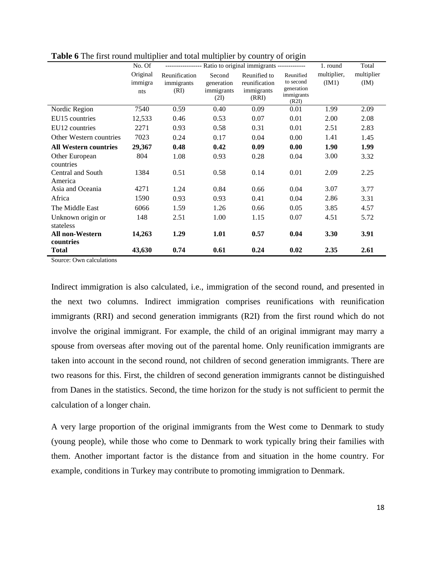|                              | No. Of                     |                                     |                                            | ---------------- Ratio to original immigrants ------------- |                                                             | 1. round             | Total              |
|------------------------------|----------------------------|-------------------------------------|--------------------------------------------|-------------------------------------------------------------|-------------------------------------------------------------|----------------------|--------------------|
|                              | Original<br>immigra<br>nts | Reunification<br>immigrants<br>(RI) | Second<br>generation<br>immigrants<br>(2I) | Reunified to<br>reunification<br>immigrants<br>(RRI)        | Reunified<br>to second<br>generation<br>immigrants<br>(R2I) | multiplier,<br>(IM1) | multiplier<br>(IM) |
| Nordic Region                | 7540                       | 0.59                                | 0.40                                       | 0.09                                                        | 0.01                                                        | 1.99                 | 2.09               |
| EU15 countries               | 12,533                     | 0.46                                | 0.53                                       | 0.07                                                        | 0.01                                                        | 2.00                 | 2.08               |
| EU12 countries               | 2271                       | 0.93                                | 0.58                                       | 0.31                                                        | 0.01                                                        | 2.51                 | 2.83               |
| Other Western countries      | 7023                       | 0.24                                | 0.17                                       | 0.04                                                        | 0.00                                                        | 1.41                 | 1.45               |
| <b>All Western countries</b> | 29,367                     | 0.48                                | 0.42                                       | 0.09                                                        | 0.00                                                        | 1.90                 | 1.99               |
| Other European<br>countries  | 804                        | 1.08                                | 0.93                                       | 0.28                                                        | 0.04                                                        | 3.00                 | 3.32               |
| Central and South<br>America | 1384                       | 0.51                                | 0.58                                       | 0.14                                                        | 0.01                                                        | 2.09                 | 2.25               |
| Asia and Oceania             | 4271                       | 1.24                                | 0.84                                       | 0.66                                                        | 0.04                                                        | 3.07                 | 3.77               |
| Africa                       | 1590                       | 0.93                                | 0.93                                       | 0.41                                                        | 0.04                                                        | 2.86                 | 3.31               |
| The Middle East              | 6066                       | 1.59                                | 1.26                                       | 0.66                                                        | 0.05                                                        | 3.85                 | 4.57               |
| Unknown origin or            | 148                        | 2.51                                | 1.00                                       | 1.15                                                        | 0.07                                                        | 4.51                 | 5.72               |
| stateless                    |                            |                                     |                                            |                                                             |                                                             |                      |                    |
| All non-Western              | 14,263                     | 1.29                                | 1.01                                       | 0.57                                                        | 0.04                                                        | 3.30                 | 3.91               |
| countries<br><b>Total</b>    | 43,630                     | 0.74                                | 0.61                                       | 0.24                                                        | 0.02                                                        | 2.35                 | 2.61               |

**Table 6** The first round multiplier and total multiplier by country of origin

Source: Own calculations

Indirect immigration is also calculated, i.e., immigration of the second round, and presented in the next two columns. Indirect immigration comprises reunifications with reunification immigrants (RRI) and second generation immigrants (R2I) from the first round which do not involve the original immigrant. For example, the child of an original immigrant may marry a spouse from overseas after moving out of the parental home. Only reunification immigrants are taken into account in the second round, not children of second generation immigrants. There are two reasons for this. First, the children of second generation immigrants cannot be distinguished from Danes in the statistics. Second, the time horizon for the study is not sufficient to permit the calculation of a longer chain.

A very large proportion of the original immigrants from the West come to Denmark to study (young people), while those who come to Denmark to work typically bring their families with them. Another important factor is the distance from and situation in the home country. For example, conditions in Turkey may contribute to promoting immigration to Denmark.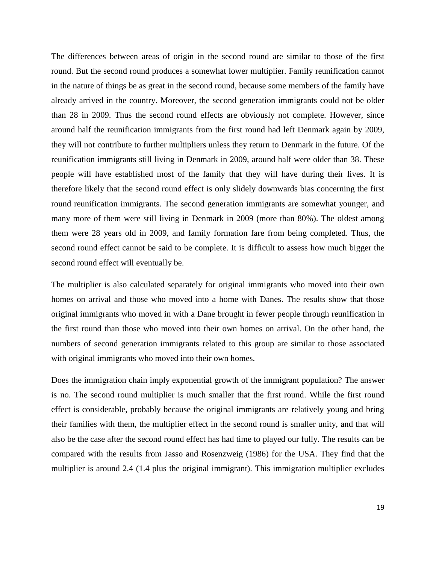The differences between areas of origin in the second round are similar to those of the first round. But the second round produces a somewhat lower multiplier. Family reunification cannot in the nature of things be as great in the second round, because some members of the family have already arrived in the country. Moreover, the second generation immigrants could not be older than 28 in 2009. Thus the second round effects are obviously not complete. However, since around half the reunification immigrants from the first round had left Denmark again by 2009, they will not contribute to further multipliers unless they return to Denmark in the future. Of the reunification immigrants still living in Denmark in 2009, around half were older than 38. These people will have established most of the family that they will have during their lives. It is therefore likely that the second round effect is only slidely downwards bias concerning the first round reunification immigrants. The second generation immigrants are somewhat younger, and many more of them were still living in Denmark in 2009 (more than 80%). The oldest among them were 28 years old in 2009, and family formation fare from being completed. Thus, the second round effect cannot be said to be complete. It is difficult to assess how much bigger the second round effect will eventually be.

The multiplier is also calculated separately for original immigrants who moved into their own homes on arrival and those who moved into a home with Danes. The results show that those original immigrants who moved in with a Dane brought in fewer people through reunification in the first round than those who moved into their own homes on arrival. On the other hand, the numbers of second generation immigrants related to this group are similar to those associated with original immigrants who moved into their own homes.

Does the immigration chain imply exponential growth of the immigrant population? The answer is no. The second round multiplier is much smaller that the first round. While the first round effect is considerable, probably because the original immigrants are relatively young and bring their families with them, the multiplier effect in the second round is smaller unity, and that will also be the case after the second round effect has had time to played our fully. The results can be compared with the results from Jasso and Rosenzweig (1986) for the USA. They find that the multiplier is around 2.4 (1.4 plus the original immigrant). This immigration multiplier excludes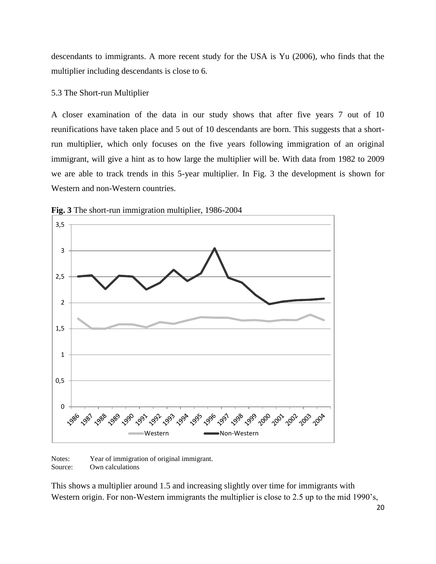descendants to immigrants. A more recent study for the USA is Yu (2006), who finds that the multiplier including descendants is close to 6.

#### 5.3 The Short-run Multiplier

A closer examination of the data in our study shows that after five years 7 out of 10 reunifications have taken place and 5 out of 10 descendants are born. This suggests that a shortrun multiplier, which only focuses on the five years following immigration of an original immigrant, will give a hint as to how large the multiplier will be. With data from 1982 to 2009 we are able to track trends in this 5-year multiplier. In [Fig.](#page-19-0) 3 the development is shown for Western and non-Western countries.



<span id="page-19-0"></span>**Fig. 3** The short-run immigration multiplier, 1986-2004

Notes: Year of immigration of original immigrant. Source: Own calculations

This shows a multiplier around 1.5 and increasing slightly over time for immigrants with Western origin. For non-Western immigrants the multiplier is close to 2.5 up to the mid 1990's,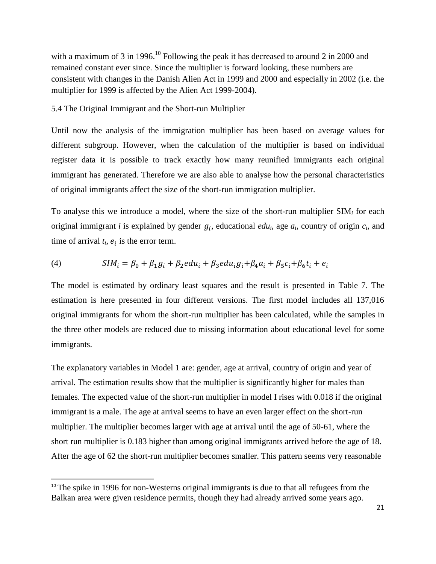with a maximum of 3 in 1996.<sup>10</sup> Following the peak it has decreased to around 2 in 2000 and remained constant ever since. Since the multiplier is forward looking, these numbers are consistent with changes in the Danish Alien Act in 1999 and 2000 and especially in 2002 (i.e. the multiplier for 1999 is affected by the Alien Act 1999-2004).

#### 5.4 The Original Immigrant and the Short-run Multiplier

Until now the analysis of the immigration multiplier has been based on average values for different subgroup. However, when the calculation of the multiplier is based on individual register data it is possible to track exactly how many reunified immigrants each original immigrant has generated. Therefore we are also able to analyse how the personal characteristics of original immigrants affect the size of the short-run immigration multiplier.

To analyse this we introduce a model, where the size of the short-run multiplier SIM*<sup>i</sup>* for each original immigrant *i* is explained by gender  $g_i$ , educational *edu<sub>i</sub>*, age  $a_i$ , country of origin  $c_i$ , and time of arrival  $t_i$ ,  $e_i$  is the error term.

(4) 
$$
SIM_i = \beta_0 + \beta_1 g_i + \beta_2 e du_i + \beta_3 e du_i g_i + \beta_4 a_i + \beta_5 c_i + \beta_6 t_i + e_i
$$

The model is estimated by ordinary least squares and the result is presented in Table 7. The estimation is here presented in four different versions. The first model includes all 137,016 original immigrants for whom the short-run multiplier has been calculated, while the samples in the three other models are reduced due to missing information about educational level for some immigrants.

The explanatory variables in Model 1 are: gender, age at arrival, country of origin and year of arrival. The estimation results show that the multiplier is significantly higher for males than females. The expected value of the short-run multiplier in model I rises with 0.018 if the original immigrant is a male. The age at arrival seems to have an even larger effect on the short-run multiplier. The multiplier becomes larger with age at arrival until the age of 50-61, where the short run multiplier is 0.183 higher than among original immigrants arrived before the age of 18. After the age of 62 the short-run multiplier becomes smaller. This pattern seems very reasonable

l

 $10$  The spike in 1996 for non-Westerns original immigrants is due to that all refugees from the Balkan area were given residence permits, though they had already arrived some years ago.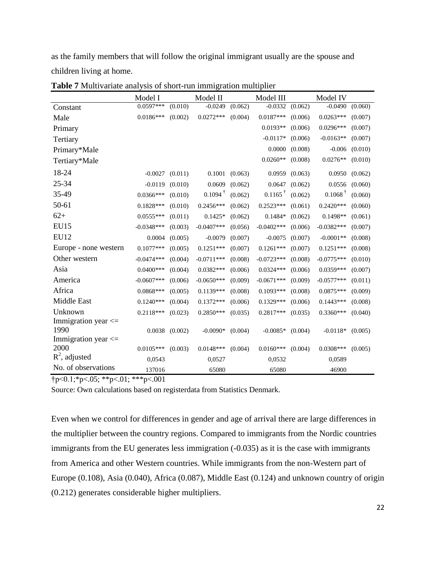as the family members that will follow the original immigrant usually are the spouse and children living at home.

|                         | Model I      |         | Model II           |         | Model III          |         | Model IV              |         |
|-------------------------|--------------|---------|--------------------|---------|--------------------|---------|-----------------------|---------|
| Constant                | $0.0597***$  | (0.010) | $-0.0249$          | (0.062) | $-0.0332$          | (0.062) | $-0.0490$             | (0.060) |
| Male                    | $0.0186***$  | (0.002) | $0.0272***$        | (0.004) | $0.0187***$        | (0.006) | $0.0263***$           | (0.007) |
| Primary                 |              |         |                    |         | $0.0193**$         | (0.006) | $0.0296***$           | (0.007) |
| Tertiary                |              |         |                    |         | $-0.0117*$         | (0.006) | $-0.0163**$           | (0.007) |
| Primary*Male            |              |         |                    |         | 0.0000             | (0.008) | $-0.006$              | (0.010) |
| Tertiary*Male           |              |         |                    |         | $0.0260**$         | (0.008) | $0.0276**$            | (0.010) |
| 18-24                   | $-0.0027$    | (0.011) | 0.1001             | (0.063) | 0.0959             | (0.063) | 0.0950                | (0.062) |
| 25-34                   | $-0.0119$    | (0.010) | 0.0609             | (0.062) | 0.0647             | (0.062) | 0.0556                | (0.060) |
| 35-49                   | $0.0366***$  | (0.010) | $0.1094^{\dagger}$ | (0.062) | $0.1165^{\dagger}$ | (0.062) | $0.1068$ <sup>T</sup> | (0.060) |
| $50 - 61$               | $0.1828***$  | (0.010) | $0.2456***$        | (0.062) | $0.2523***$        | (0.061) | $0.2420***$           | (0.060) |
| $62+$                   | $0.0555***$  | (0.011) | $0.1425*$          | (0.062) | $0.1484*$          | (0.062) | $0.1498**$            | (0.061) |
| <b>EU15</b>             | $-0.0348***$ | (0.003) | $-0.0407$ ***      | (0.056) | $-0.0402***$       | (0.006) | $-0.0382***$          | (0.007) |
| <b>EU12</b>             | 0.0004       | (0.005) | $-0.0079$          | (0.007) | $-0.0075$          | (0.007) | $-0.0001**$           | (0.008) |
| Europe - none western   | $0.1077***$  | (0.005) | $0.1251***$        | (0.007) | $0.1261***$        | (0.007) | $0.1251***$           | (0.008) |
| Other western           | $-0.0474***$ | (0.004) | $-0.0711***$       | (0.008) | $-0.0723***$       | (0.008) | $-0.0775***$          | (0.010) |
| Asia                    | $0.0400***$  | (0.004) | $0.0382***$        | (0.006) | $0.0324***$        | (0.006) | 0.0359***             | (0.007) |
| America                 | $-0.0607***$ | (0.006) | $-0.0650***$       | (0.009) | $-0.0671***$       | (0.009) | $-0.0577***$          | (0.011) |
| Africa                  | $0.0868***$  | (0.005) | $0.1139***$        | (0.008) | $0.1093***$        | (0.008) | $0.0875***$           | (0.009) |
| Middle East             | $0.1240***$  | (0.004) | $0.1372***$        | (0.006) | $0.1329***$        | (0.006) | $0.1443***$           | (0.008) |
| Unknown                 | $0.2118***$  | (0.023) | $0.2850***$        | (0.035) | $0.2817***$        | (0.035) | $0.3360***$           | (0.040) |
| Immigration year $\leq$ |              |         |                    |         |                    |         |                       |         |
| 1990                    | 0.0038       | (0.002) | $-0.0090*$         | (0.004) | $-0.0085*$         | (0.004) | $-0.0118*$            | (0.005) |
| Immigration year <=     |              |         |                    |         |                    |         |                       |         |
| 2000                    | $0.0105***$  | (0.003) | $0.0148***$        | (0.004) | $0.0160***$        | (0.004) | $0.0308***$           | (0.005) |
| $R^2$ , adjusted        | 0,0543       |         | 0,0527             |         | 0,0532             |         | 0,0589                |         |
| No. of observations     | 137016       |         | 65080              |         | 65080              |         | 46900                 |         |

**Table 7** Multivariate analysis of short-run immigration multiplier

 $\uparrow p < 0.1; *p < .05; **p < .01; **p < .001$ 

Source: Own calculations based on registerdata from Statistics Denmark.

Even when we control for differences in gender and age of arrival there are large differences in the multiplier between the country regions. Compared to immigrants from the Nordic countries immigrants from the EU generates less immigration  $(-0.035)$  as it is the case with immigrants from America and other Western countries. While immigrants from the non-Western part of Europe (0.108), Asia (0.040), Africa (0.087), Middle East (0.124) and unknown country of origin (0.212) generates considerable higher multipliers.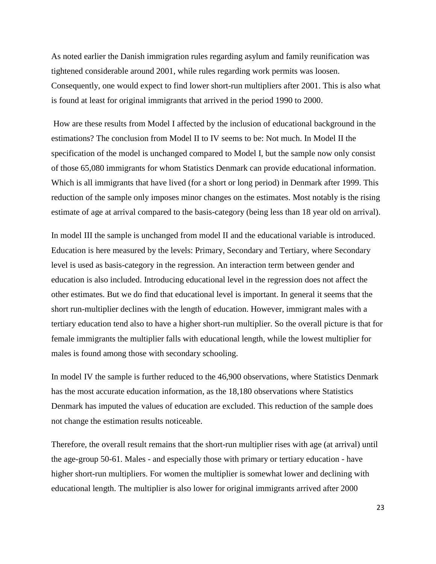As noted earlier the Danish immigration rules regarding asylum and family reunification was tightened considerable around 2001, while rules regarding work permits was loosen. Consequently, one would expect to find lower short-run multipliers after 2001. This is also what is found at least for original immigrants that arrived in the period 1990 to 2000.

How are these results from Model I affected by the inclusion of educational background in the estimations? The conclusion from Model II to IV seems to be: Not much. In Model II the specification of the model is unchanged compared to Model I, but the sample now only consist of those 65,080 immigrants for whom Statistics Denmark can provide educational information. Which is all immigrants that have lived (for a short or long period) in Denmark after 1999. This reduction of the sample only imposes minor changes on the estimates. Most notably is the rising estimate of age at arrival compared to the basis-category (being less than 18 year old on arrival).

In model III the sample is unchanged from model II and the educational variable is introduced. Education is here measured by the levels: Primary, Secondary and Tertiary, where Secondary level is used as basis-category in the regression. An interaction term between gender and education is also included. Introducing educational level in the regression does not affect the other estimates. But we do find that educational level is important. In general it seems that the short run-multiplier declines with the length of education. However, immigrant males with a tertiary education tend also to have a higher short-run multiplier. So the overall picture is that for female immigrants the multiplier falls with educational length, while the lowest multiplier for males is found among those with secondary schooling.

In model IV the sample is further reduced to the 46,900 observations, where Statistics Denmark has the most accurate education information, as the 18,180 observations where Statistics Denmark has imputed the values of education are excluded. This reduction of the sample does not change the estimation results noticeable.

Therefore, the overall result remains that the short-run multiplier rises with age (at arrival) until the age-group 50-61. Males - and especially those with primary or tertiary education - have higher short-run multipliers. For women the multiplier is somewhat lower and declining with educational length. The multiplier is also lower for original immigrants arrived after 2000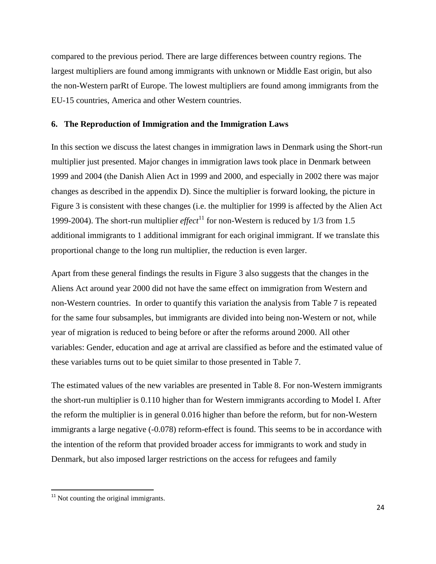compared to the previous period. There are large differences between country regions. The largest multipliers are found among immigrants with unknown or Middle East origin, but also the non-Western parRt of Europe. The lowest multipliers are found among immigrants from the EU-15 countries, America and other Western countries.

#### **6. The Reproduction of Immigration and the Immigration Laws**

In this section we discuss the latest changes in immigration laws in Denmark using the Short-run multiplier just presented. Major changes in immigration laws took place in Denmark between 1999 and 2004 (the Danish Alien Act in 1999 and 2000, and especially in 2002 there was major changes as described in the appendix D). Since the multiplier is forward looking, the picture in Figure 3 is consistent with these changes (i.e. the multiplier for 1999 is affected by the Alien Act 1999-2004). The short-run multiplier *effect*<sup>11</sup> for non-Western is reduced by  $1/3$  from 1.5 additional immigrants to 1 additional immigrant for each original immigrant. If we translate this proportional change to the long run multiplier, the reduction is even larger.

Apart from these general findings the results in Figure 3 also suggests that the changes in the Aliens Act around year 2000 did not have the same effect on immigration from Western and non-Western countries. In order to quantify this variation the analysis from Table 7 is repeated for the same four subsamples, but immigrants are divided into being non-Western or not, while year of migration is reduced to being before or after the reforms around 2000. All other variables: Gender, education and age at arrival are classified as before and the estimated value of these variables turns out to be quiet similar to those presented in Table 7.

The estimated values of the new variables are presented in Table 8. For non-Western immigrants the short-run multiplier is 0.110 higher than for Western immigrants according to Model I. After the reform the multiplier is in general 0.016 higher than before the reform, but for non-Western immigrants a large negative  $(-0.078)$  reform-effect is found. This seems to be in accordance with the intention of the reform that provided broader access for immigrants to work and study in Denmark, but also imposed larger restrictions on the access for refugees and family

 $\overline{\phantom{a}}$ 

 $11$  Not counting the original immigrants.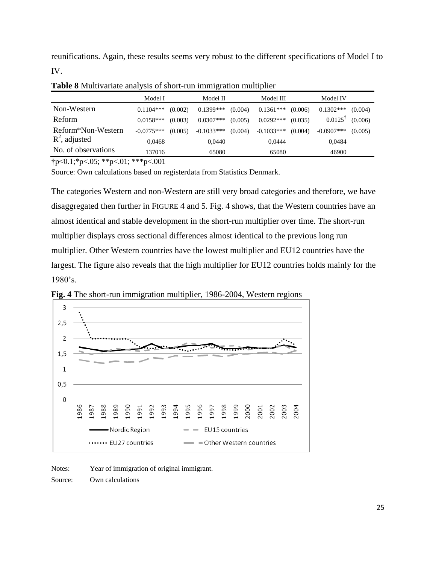reunifications. Again, these results seems very robust to the different specifications of Model I to IV.

|                     | Model I      |         | Model II     |         | Model III    |         | Model IV      |         |
|---------------------|--------------|---------|--------------|---------|--------------|---------|---------------|---------|
| Non-Western         | $0.1104$ *** | (0.002) | $0.1399***$  | (0.004) | $0.1361***$  | (0.006) | $0.1302***$   | (0.004) |
| <b>Reform</b>       | $0.0158***$  | (0.003) | $0.0307***$  | (0.005) | $0.0292***$  | (0.035) | 0.0125        | (0.006) |
| Reform*Non-Western  | $-0.0775***$ | (0.005) | $-0.1033***$ | (0.004) | $-0.1033***$ | (0.004) | $-0.0907$ *** | (0.005) |
| $R^2$ , adjusted    | 0.0468       |         | 0.0440       |         | 0.0444       |         | 0.0484        |         |
| No. of observations | 137016       |         | 65080        |         | 65080        |         | 46900         |         |

**Table 8** Multivariate analysis of short-run immigration multiplier

 $\uparrow p < 0.1$ ; \*p<.05; \*\*p<.01; \*\*\*p<.001

Source: Own calculations based on registerdata from Statistics Denmark.

The categories Western and non-Western are still very broad categories and therefore, we have disaggregated then further in FIGURE 4 and 5. [Fig.](#page-24-0) 4 shows, that the Western countries have an almost identical and stable development in the short-run multiplier over time. The short-run multiplier displays cross sectional differences almost identical to the previous long run multiplier. Other Western countries have the lowest multiplier and EU12 countries have the largest. The figure also reveals that the high multiplier for EU12 countries holds mainly for the 1980's.



<span id="page-24-0"></span>**Fig. 4** The short-run immigration multiplier, 1986-2004, Western regions

Notes: Year of immigration of original immigrant.

Source: Own calculations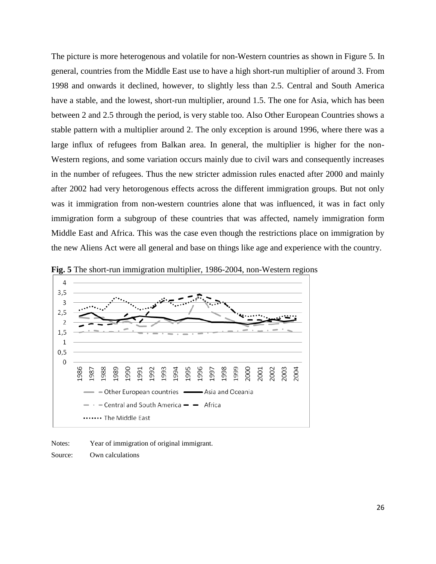The picture is more heterogenous and volatile for non-Western countries as shown in Figure 5. In general, countries from the Middle East use to have a high short-run multiplier of around 3. From 1998 and onwards it declined, however, to slightly less than 2.5. Central and South America have a stable, and the lowest, short-run multiplier, around 1.5. The one for Asia, which has been between 2 and 2.5 through the period, is very stable too. Also Other European Countries shows a stable pattern with a multiplier around 2. The only exception is around 1996, where there was a large influx of refugees from Balkan area. In general, the multiplier is higher for the non-Western regions, and some variation occurs mainly due to civil wars and consequently increases in the number of refugees. Thus the new stricter admission rules enacted after 2000 and mainly after 2002 had very hetorogenous effects across the different immigration groups. But not only was it immigration from non-western countries alone that was influenced, it was in fact only immigration form a subgroup of these countries that was affected, namely immigration form Middle East and Africa. This was the case even though the restrictions place on immigration by the new Aliens Act were all general and base on things like age and experience with the country.



**Fig. 5** The short-run immigration multiplier, 1986-2004, non-Western regions

Notes: Year of immigration of original immigrant. Source: Own calculations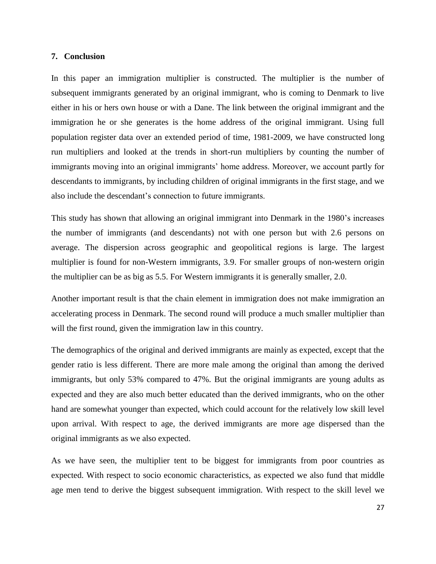#### **7. Conclusion**

In this paper an immigration multiplier is constructed. The multiplier is the number of subsequent immigrants generated by an original immigrant, who is coming to Denmark to live either in his or hers own house or with a Dane. The link between the original immigrant and the immigration he or she generates is the home address of the original immigrant. Using full population register data over an extended period of time, 1981-2009, we have constructed long run multipliers and looked at the trends in short-run multipliers by counting the number of immigrants moving into an original immigrants' home address. Moreover, we account partly for descendants to immigrants, by including children of original immigrants in the first stage, and we also include the descendant's connection to future immigrants.

This study has shown that allowing an original immigrant into Denmark in the 1980's increases the number of immigrants (and descendants) not with one person but with 2.6 persons on average. The dispersion across geographic and geopolitical regions is large. The largest multiplier is found for non-Western immigrants, 3.9. For smaller groups of non-western origin the multiplier can be as big as 5.5. For Western immigrants it is generally smaller, 2.0.

Another important result is that the chain element in immigration does not make immigration an accelerating process in Denmark. The second round will produce a much smaller multiplier than will the first round, given the immigration law in this country.

The demographics of the original and derived immigrants are mainly as expected, except that the gender ratio is less different. There are more male among the original than among the derived immigrants, but only 53% compared to 47%. But the original immigrants are young adults as expected and they are also much better educated than the derived immigrants, who on the other hand are somewhat younger than expected, which could account for the relatively low skill level upon arrival. With respect to age, the derived immigrants are more age dispersed than the original immigrants as we also expected.

As we have seen, the multiplier tent to be biggest for immigrants from poor countries as expected. With respect to socio economic characteristics, as expected we also fund that middle age men tend to derive the biggest subsequent immigration. With respect to the skill level we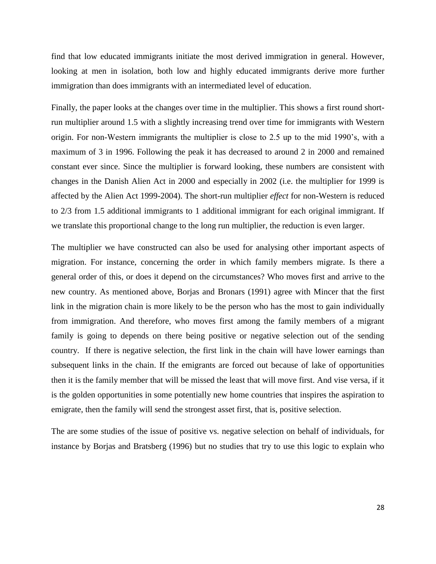find that low educated immigrants initiate the most derived immigration in general. However, looking at men in isolation, both low and highly educated immigrants derive more further immigration than does immigrants with an intermediated level of education.

Finally, the paper looks at the changes over time in the multiplier. This shows a first round shortrun multiplier around 1.5 with a slightly increasing trend over time for immigrants with Western origin. For non-Western immigrants the multiplier is close to 2.5 up to the mid 1990's, with a maximum of 3 in 1996. Following the peak it has decreased to around 2 in 2000 and remained constant ever since. Since the multiplier is forward looking, these numbers are consistent with changes in the Danish Alien Act in 2000 and especially in 2002 (i.e. the multiplier for 1999 is affected by the Alien Act 1999-2004). The short-run multiplier *effect* for non-Western is reduced to 2/3 from 1.5 additional immigrants to 1 additional immigrant for each original immigrant. If we translate this proportional change to the long run multiplier, the reduction is even larger.

The multiplier we have constructed can also be used for analysing other important aspects of migration. For instance, concerning the order in which family members migrate. Is there a general order of this, or does it depend on the circumstances? Who moves first and arrive to the new country. As mentioned above, Borjas and Bronars (1991) agree with Mincer that the first link in the migration chain is more likely to be the person who has the most to gain individually from immigration. And therefore, who moves first among the family members of a migrant family is going to depends on there being positive or negative selection out of the sending country. If there is negative selection, the first link in the chain will have lower earnings than subsequent links in the chain. If the emigrants are forced out because of lake of opportunities then it is the family member that will be missed the least that will move first. And vise versa, if it is the golden opportunities in some potentially new home countries that inspires the aspiration to emigrate, then the family will send the strongest asset first, that is, positive selection.

The are some studies of the issue of positive vs. negative selection on behalf of individuals, for instance by Borjas and Bratsberg (1996) but no studies that try to use this logic to explain who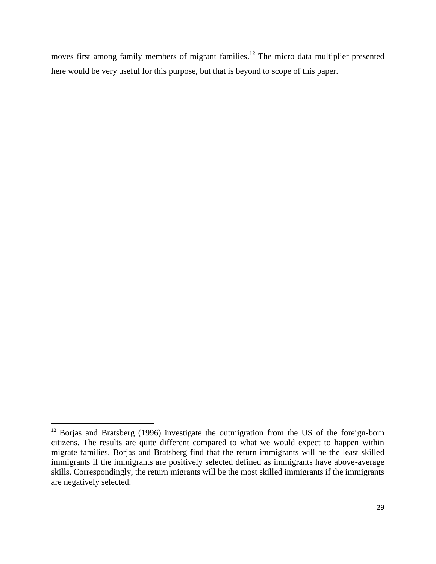moves first among family members of migrant families.<sup>12</sup> The micro data multiplier presented here would be very useful for this purpose, but that is beyond to scope of this paper.

l

 $12$  Borjas and Bratsberg (1996) investigate the outmigration from the US of the foreign-born citizens. The results are quite different compared to what we would expect to happen within migrate families. Borjas and Bratsberg find that the return immigrants will be the least skilled immigrants if the immigrants are positively selected defined as immigrants have above-average skills. Correspondingly, the return migrants will be the most skilled immigrants if the immigrants are negatively selected.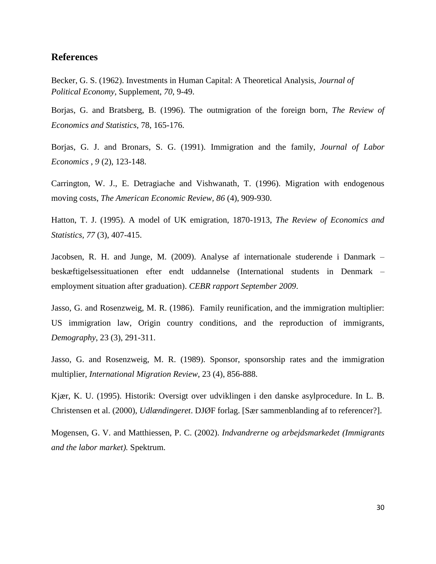# **References**

Becker, G. S. (1962). Investments in Human Capital: A Theoretical Analysis, *Journal of Political Economy,* Supplement, *70*, 9-49.

Borjas, G. and Bratsberg, B. (1996). The outmigration of the foreign born, *The Review of Economics and Statistics*, 78, 165-176.

Borjas, G. J. and Bronars, S. G. (1991). Immigration and the family, *Journal of Labor Economics* , *9* (2), 123-148.

Carrington, W. J., E. Detragiache and Vishwanath, T. (1996). Migration with endogenous moving costs, *The American Economic Review, 86* (4), 909-930.

Hatton, T. J. (1995). A model of UK emigration, 1870-1913, *The Review of Economics and Statistics, 77* (3), 407-415.

Jacobsen, R. H. and Junge, M. (2009). Analyse af internationale studerende i Danmark – beskæftigelsessituationen efter endt uddannelse (International students in Denmark – employment situation after graduation). *CEBR rapport September 2009*.

Jasso, G. and Rosenzweig, M. R. (1986). Family reunification, and the immigration multiplier: US immigration law, Origin country conditions, and the reproduction of immigrants, *Demography*, 23 (3), 291-311.

Jasso, G. and Rosenzweig, M. R. (1989). Sponsor, sponsorship rates and the immigration multiplier, *International Migration Review*, 23 (4), 856-888.

Kjær, K. U. (1995). Historik: Oversigt over udviklingen i den danske asylprocedure. In L. B. Christensen et al. (2000), *Udlændingeret*. DJØF forlag. [Sær sammenblanding af to referencer?].

Mogensen, G. V. and Matthiessen, P. C. (2002). *Indvandrerne og arbejdsmarkedet (Immigrants and the labor market).* Spektrum.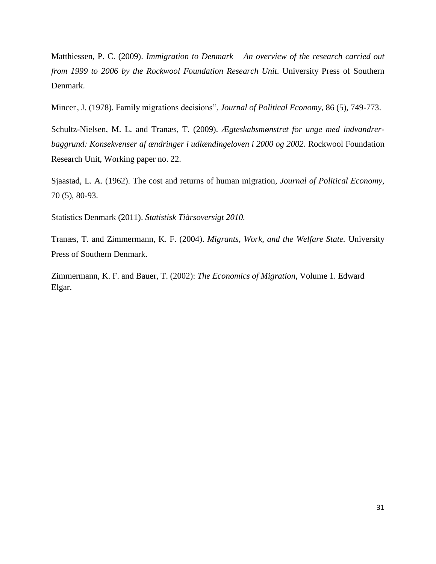Matthiessen, P. C. (2009). *Immigration to Denmark – An overview of the research carried out from 1999 to 2006 by the Rockwool Foundation Research Unit*. University Press of Southern Denmark.

Mincer, J. (1978). Family migrations decisions", *Journal of Political Economy*, 86 (5), 749-773.

Schultz-Nielsen, M. L. and Tranæs, T. (2009). *Ægteskabsmønstret for unge med indvandrerbaggrund: Konsekvenser af ændringer i udlændingeloven i 2000 og 2002*. Rockwool Foundation Research Unit, Working paper no. 22.

Sjaastad, L. A. (1962). The cost and returns of human migration, *Journal of Political Economy*, 70 (5), 80-93.

Statistics Denmark (2011). *Statistisk Tiårsoversigt 2010.*

Tranæs, T. and Zimmermann, K. F. (2004). *Migrants, Work, and the Welfare State.* University Press of Southern Denmark.

Zimmermann, K. F. and Bauer, T. (2002): *The Economics of Migration*, Volume 1. Edward Elgar.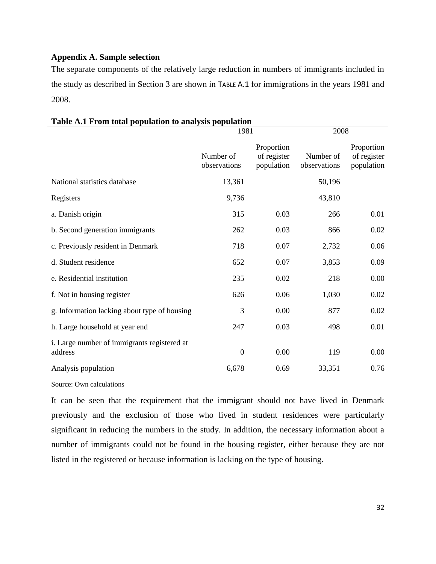## **Appendix A. Sample selection**

The separate components of the relatively large reduction in numbers of immigrants included in the study as described in Section 3 are shown in T[ABLE](#page-31-0) A.1 for immigrations in the years 1981 and 2008.

|                                                        | 1981                      |                                         | 2008                      |                                         |  |
|--------------------------------------------------------|---------------------------|-----------------------------------------|---------------------------|-----------------------------------------|--|
|                                                        | Number of<br>observations | Proportion<br>of register<br>population | Number of<br>observations | Proportion<br>of register<br>population |  |
| National statistics database                           | 13,361                    |                                         | 50,196                    |                                         |  |
| Registers                                              | 9,736                     |                                         | 43,810                    |                                         |  |
| a. Danish origin                                       | 315                       | 0.03                                    | 266                       | 0.01                                    |  |
| b. Second generation immigrants                        | 262                       | 0.03                                    | 866                       | 0.02                                    |  |
| c. Previously resident in Denmark                      | 718                       | 0.07                                    | 2,732                     | 0.06                                    |  |
| d. Student residence                                   | 652                       | 0.07                                    | 3,853                     | 0.09                                    |  |
| e. Residential institution                             | 235                       | 0.02                                    | 218                       | 0.00                                    |  |
| f. Not in housing register                             | 626                       | 0.06                                    | 1,030                     | 0.02                                    |  |
| g. Information lacking about type of housing           | 3                         | 0.00                                    | 877                       | 0.02                                    |  |
| h. Large household at year end                         | 247                       | 0.03                                    | 498                       | 0.01                                    |  |
| i. Large number of immigrants registered at<br>address | $\mathbf{0}$              | 0.00                                    | 119                       | 0.00                                    |  |
| Analysis population                                    | 6,678                     | 0.69                                    | 33,351                    | 0.76                                    |  |

# <span id="page-31-0"></span>**Table A.1 From total population to analysis population**

Source: Own calculations

It can be seen that the requirement that the immigrant should not have lived in Denmark previously and the exclusion of those who lived in student residences were particularly significant in reducing the numbers in the study. In addition, the necessary information about a number of immigrants could not be found in the housing register, either because they are not listed in the registered or because information is lacking on the type of housing.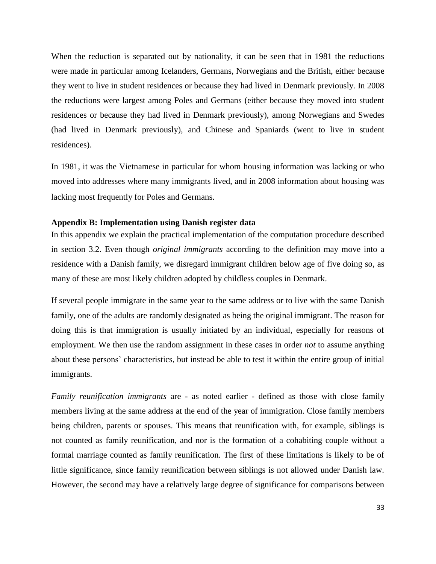When the reduction is separated out by nationality, it can be seen that in 1981 the reductions were made in particular among Icelanders, Germans, Norwegians and the British, either because they went to live in student residences or because they had lived in Denmark previously. In 2008 the reductions were largest among Poles and Germans (either because they moved into student residences or because they had lived in Denmark previously), among Norwegians and Swedes (had lived in Denmark previously), and Chinese and Spaniards (went to live in student residences).

In 1981, it was the Vietnamese in particular for whom housing information was lacking or who moved into addresses where many immigrants lived, and in 2008 information about housing was lacking most frequently for Poles and Germans.

#### **Appendix B: Implementation using Danish register data**

In this appendix we explain the practical implementation of the computation procedure described in section 3.2. Even though *original immigrants* according to the definition may move into a residence with a Danish family, we disregard immigrant children below age of five doing so, as many of these are most likely children adopted by childless couples in Denmark.

If several people immigrate in the same year to the same address or to live with the same Danish family, one of the adults are randomly designated as being the original immigrant. The reason for doing this is that immigration is usually initiated by an individual, especially for reasons of employment. We then use the random assignment in these cases in order *not* to assume anything about these persons' characteristics, but instead be able to test it within the entire group of initial immigrants.

*Family reunification immigrants* are - as noted earlier - defined as those with close family members living at the same address at the end of the year of immigration. Close family members being children, parents or spouses. This means that reunification with, for example, siblings is not counted as family reunification, and nor is the formation of a cohabiting couple without a formal marriage counted as family reunification. The first of these limitations is likely to be of little significance, since family reunification between siblings is not allowed under Danish law. However, the second may have a relatively large degree of significance for comparisons between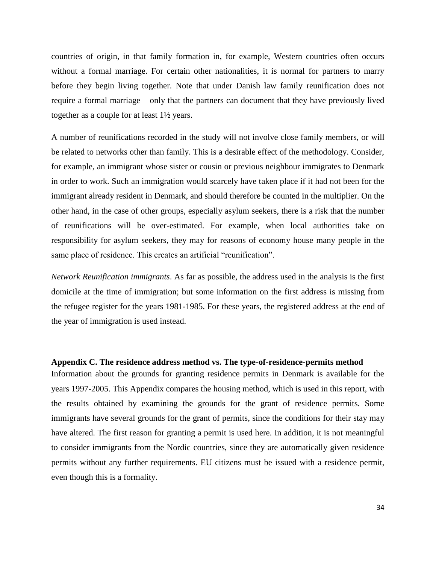countries of origin, in that family formation in, for example, Western countries often occurs without a formal marriage. For certain other nationalities, it is normal for partners to marry before they begin living together. Note that under Danish law family reunification does not require a formal marriage – only that the partners can document that they have previously lived together as a couple for at least 1½ years.

A number of reunifications recorded in the study will not involve close family members, or will be related to networks other than family. This is a desirable effect of the methodology. Consider, for example, an immigrant whose sister or cousin or previous neighbour immigrates to Denmark in order to work. Such an immigration would scarcely have taken place if it had not been for the immigrant already resident in Denmark, and should therefore be counted in the multiplier. On the other hand, in the case of other groups, especially asylum seekers, there is a risk that the number of reunifications will be over-estimated. For example, when local authorities take on responsibility for asylum seekers, they may for reasons of economy house many people in the same place of residence. This creates an artificial "reunification".

*Network Reunification immigrants*. As far as possible, the address used in the analysis is the first domicile at the time of immigration; but some information on the first address is missing from the refugee register for the years 1981-1985. For these years, the registered address at the end of the year of immigration is used instead.

### **Appendix C. The residence address method vs. The type-of-residence-permits method**

Information about the grounds for granting residence permits in Denmark is available for the years 1997-2005. This Appendix compares the housing method, which is used in this report, with the results obtained by examining the grounds for the grant of residence permits. Some immigrants have several grounds for the grant of permits, since the conditions for their stay may have altered. The first reason for granting a permit is used here. In addition, it is not meaningful to consider immigrants from the Nordic countries, since they are automatically given residence permits without any further requirements. EU citizens must be issued with a residence permit, even though this is a formality.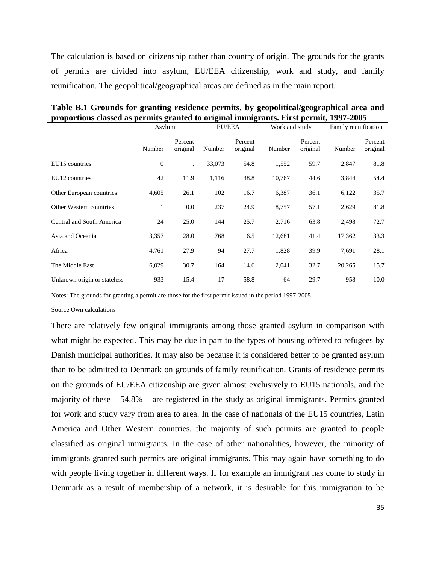The calculation is based on citizenship rather than country of origin. The grounds for the grants of permits are divided into asylum, EU/EEA citizenship, work and study, and family reunification. The geopolitical/geographical areas are defined as in the main report.

|                             | Asylum   |                     |        | <b>EU/EEA</b>       |        | Work and study      |        | Family reunification |  |
|-----------------------------|----------|---------------------|--------|---------------------|--------|---------------------|--------|----------------------|--|
|                             | Number   | Percent<br>original | Number | Percent<br>original | Number | Percent<br>original | Number | Percent<br>original  |  |
| EU15 countries              | $\theta$ |                     | 33,073 | 54.8                | 1,552  | 59.7                | 2,847  | 81.8                 |  |
| EU12 countries              | 42       | 11.9                | 1,116  | 38.8                | 10,767 | 44.6                | 3,844  | 54.4                 |  |
| Other European countries    | 4,605    | 26.1                | 102    | 16.7                | 6,387  | 36.1                | 6,122  | 35.7                 |  |
| Other Western countries     | 1        | $0.0\,$             | 237    | 24.9                | 8,757  | 57.1                | 2,629  | 81.8                 |  |
| Central and South America   | 24       | 25.0                | 144    | 25.7                | 2,716  | 63.8                | 2,498  | 72.7                 |  |
| Asia and Oceania            | 3,357    | 28.0                | 768    | 6.5                 | 12,681 | 41.4                | 17,362 | 33.3                 |  |
| Africa                      | 4,761    | 27.9                | 94     | 27.7                | 1,828  | 39.9                | 7,691  | 28.1                 |  |
| The Middle East             | 6,029    | 30.7                | 164    | 14.6                | 2,041  | 32.7                | 20,265 | 15.7                 |  |
| Unknown origin or stateless | 933      | 15.4                | 17     | 58.8                | 64     | 29.7                | 958    | 10.0                 |  |

**Table B.1 Grounds for granting residence permits, by geopolitical/geographical area and proportions classed as permits granted to original immigrants. First permit, 1997-2005**

Notes: The grounds for granting a permit are those for the first permit issued in the period 1997-2005.

Source:Own calculations

There are relatively few original immigrants among those granted asylum in comparison with what might be expected. This may be due in part to the types of housing offered to refugees by Danish municipal authorities. It may also be because it is considered better to be granted asylum than to be admitted to Denmark on grounds of family reunification. Grants of residence permits on the grounds of EU/EEA citizenship are given almost exclusively to EU15 nationals, and the majority of these – 54.8% – are registered in the study as original immigrants. Permits granted for work and study vary from area to area. In the case of nationals of the EU15 countries, Latin America and Other Western countries, the majority of such permits are granted to people classified as original immigrants. In the case of other nationalities, however, the minority of immigrants granted such permits are original immigrants. This may again have something to do with people living together in different ways. If for example an immigrant has come to study in Denmark as a result of membership of a network, it is desirable for this immigration to be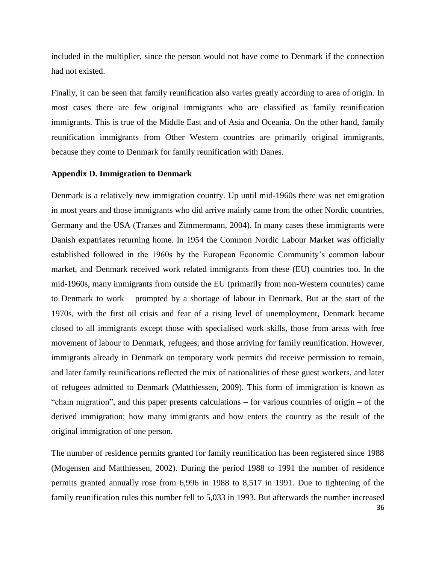included in the multiplier, since the person would not have come to Denmark if the connection had not existed.

Finally, it can be seen that family reunification also varies greatly according to area of origin. In most cases there are few original immigrants who are classified as family reunification immigrants. This is true of the Middle East and of Asia and Oceania. On the other hand, family reunification immigrants from Other Western countries are primarily original immigrants, because they come to Denmark for family reunification with Danes.

#### **Appendix D. Immigration to Denmark**

Denmark is a relatively new immigration country. Up until mid-1960s there was net emigration in most years and those immigrants who did arrive mainly came from the other Nordic countries, Germany and the USA (Tranæs and Zimmermann, 2004). In many cases these immigrants were Danish expatriates returning home. In 1954 the Common Nordic Labour Market was officially established followed in the 1960s by the European Economic Community's common labour market, and Denmark received work related immigrants from these (EU) countries too. In the mid-1960s, many immigrants from outside the EU (primarily from non-Western countries) came to Denmark to work – prompted by a shortage of labour in Denmark. But at the start of the 1970s, with the first oil crisis and fear of a rising level of unemployment, Denmark became closed to all immigrants except those with specialised work skills, those from areas with free movement of labour to Denmark, refugees, and those arriving for family reunification. However, immigrants already in Denmark on temporary work permits did receive permission to remain, and later family reunifications reflected the mix of nationalities of these guest workers, and later of refugees admitted to Denmark (Matthiessen, 2009). This form of immigration is known as "chain migration", and this paper presents calculations – for various countries of origin – of the derived immigration; how many immigrants and how enters the country as the result of the original immigration of one person.

36 The number of residence permits granted for family reunification has been registered since 1988 (Mogensen and Matthiessen, 2002). During the period 1988 to 1991 the number of residence permits granted annually rose from 6,996 in 1988 to 8,517 in 1991. Due to tightening of the family reunification rules this number fell to 5,033 in 1993. But afterwards the number increased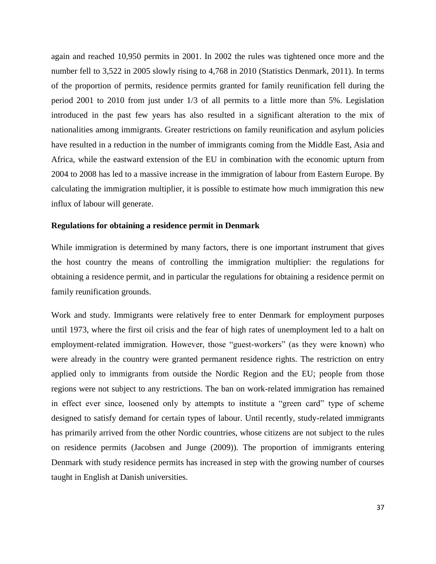again and reached 10,950 permits in 2001. In 2002 the rules was tightened once more and the number fell to 3,522 in 2005 slowly rising to 4,768 in 2010 (Statistics Denmark, 2011). In terms of the proportion of permits, residence permits granted for family reunification fell during the period 2001 to 2010 from just under 1/3 of all permits to a little more than 5%. Legislation introduced in the past few years has also resulted in a significant alteration to the mix of nationalities among immigrants. Greater restrictions on family reunification and asylum policies have resulted in a reduction in the number of immigrants coming from the Middle East, Asia and Africa, while the eastward extension of the EU in combination with the economic upturn from 2004 to 2008 has led to a massive increase in the immigration of labour from Eastern Europe. By calculating the immigration multiplier, it is possible to estimate how much immigration this new influx of labour will generate.

#### **Regulations for obtaining a residence permit in Denmark**

While immigration is determined by many factors, there is one important instrument that gives the host country the means of controlling the immigration multiplier: the regulations for obtaining a residence permit, and in particular the regulations for obtaining a residence permit on family reunification grounds.

Work and study. Immigrants were relatively free to enter Denmark for employment purposes until 1973, where the first oil crisis and the fear of high rates of unemployment led to a halt on employment-related immigration. However, those "guest-workers" (as they were known) who were already in the country were granted permanent residence rights. The restriction on entry applied only to immigrants from outside the Nordic Region and the EU; people from those regions were not subject to any restrictions. The ban on work-related immigration has remained in effect ever since, loosened only by attempts to institute a "green card" type of scheme designed to satisfy demand for certain types of labour. Until recently, study-related immigrants has primarily arrived from the other Nordic countries, whose citizens are not subject to the rules on residence permits (Jacobsen and Junge (2009)). The proportion of immigrants entering Denmark with study residence permits has increased in step with the growing number of courses taught in English at Danish universities.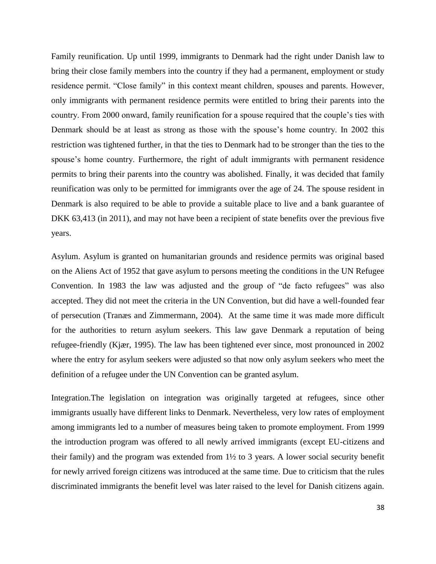Family reunification. Up until 1999, immigrants to Denmark had the right under Danish law to bring their close family members into the country if they had a permanent, employment or study residence permit. "Close family" in this context meant children, spouses and parents. However, only immigrants with permanent residence permits were entitled to bring their parents into the country. From 2000 onward, family reunification for a spouse required that the couple's ties with Denmark should be at least as strong as those with the spouse's home country. In 2002 this restriction was tightened further, in that the ties to Denmark had to be stronger than the ties to the spouse's home country. Furthermore, the right of adult immigrants with permanent residence permits to bring their parents into the country was abolished. Finally, it was decided that family reunification was only to be permitted for immigrants over the age of 24. The spouse resident in Denmark is also required to be able to provide a suitable place to live and a bank guarantee of DKK 63,413 (in 2011), and may not have been a recipient of state benefits over the previous five years.

Asylum. Asylum is granted on humanitarian grounds and residence permits was original based on the Aliens Act of 1952 that gave asylum to persons meeting the conditions in the UN Refugee Convention. In 1983 the law was adjusted and the group of "de facto refugees" was also accepted. They did not meet the criteria in the UN Convention, but did have a well-founded fear of persecution (Tranæs and Zimmermann, 2004). At the same time it was made more difficult for the authorities to return asylum seekers. This law gave Denmark a reputation of being refugee-friendly (Kjær, 1995). The law has been tightened ever since, most pronounced in 2002 where the entry for asylum seekers were adjusted so that now only asylum seekers who meet the definition of a refugee under the UN Convention can be granted asylum.

Integration.The legislation on integration was originally targeted at refugees, since other immigrants usually have different links to Denmark. Nevertheless, very low rates of employment among immigrants led to a number of measures being taken to promote employment. From 1999 the introduction program was offered to all newly arrived immigrants (except EU-citizens and their family) and the program was extended from 1½ to 3 years. A lower social security benefit for newly arrived foreign citizens was introduced at the same time. Due to criticism that the rules discriminated immigrants the benefit level was later raised to the level for Danish citizens again.